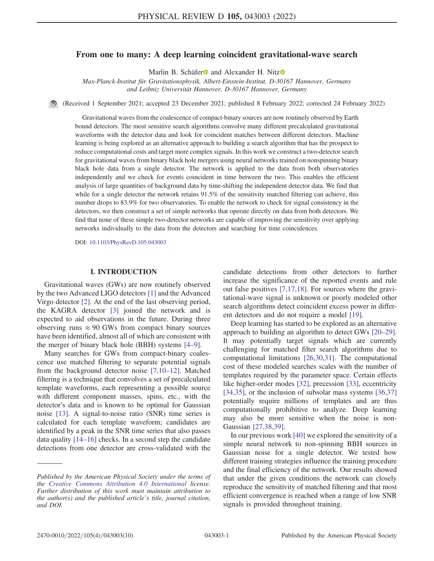# From one to many: A deep learning coincident gravitational-wave search

Marlin B. Schäfer<sup>o</sup> and Alexander H. Nitz<sup>o</sup>

Max-Planck-Institut für Gravitationsphysik, Albert-Einstein-Institut, D-30167 Hannover, Germany and Leibniz Universität Hannover, D-30167 Hannover, Germany

(Received 1 September 2021; accepted 23 December 2021; published 8 February 2022; corrected 24 February 2022)

Gravitational waves from the coalescence of compact-binary sources are now routinely observed by Earth bound detectors. The most sensitive search algorithms convolve many different precalculated gravitational waveforms with the detector data and look for coincident matches between different detectors. Machine learning is being explored as an alternative approach to building a search algorithm that has the prospect to reduce computational costs and target more complex signals. In this work we construct a two-detector search for gravitational waves from binary black hole mergers using neural networks trained on nonspinning binary black hole data from a single detector. The network is applied to the data from both observatories independently and we check for events coincident in time between the two. This enables the efficient analysis of large quantities of background data by time-shifting the independent detector data. We find that while for a single detector the network retains 91.5% of the sensitivity matched filtering can achieve, this number drops to 83.9% for two observatories. To enable the network to check for signal consistency in the detectors, we then construct a set of simple networks that operate directly on data from both detectors. We find that none of these simple two-detector networks are capable of improving the sensitivity over applying networks individually to the data from the detectors and searching for time coincidences.

DOI: [10.1103/PhysRevD.105.043003](https://doi.org/10.1103/PhysRevD.105.043003)

#### I. INTRODUCTION

Gravitational waves (GWs) are now routinely observed by the two Advanced LIGO detectors [[1](#page-9-0)] and the Advanced Virgo detector [\[2](#page-9-1)]. At the end of the last observing period, the KAGRA detector [\[3](#page-9-2)] joined the network and is expected to aid observations in the future. During three observing runs  $\approx 90$  GWs from compact binary sources have been identified, almost all of which are consistent with the merger of binary black hole (BBH) systems [\[4](#page-9-3)–[9\]](#page-9-4).

Many searches for GWs from compact-binary coalescence use matched filtering to separate potential signals from the background detector noise [[7](#page-9-5),[10](#page-9-6)–[12](#page-9-7)]. Matched filtering is a technique that convolves a set of precalculated template waveforms, each representing a possible source with different component masses, spins, etc., with the detector's data and is known to be optimal for Gaussian noise [\[13\]](#page-9-8). A signal-to-noise ratio (SNR) time series is calculated for each template waveform; candidates are identified by a peak in the SNR time series that also passes data quality [[14](#page-9-9)–[16](#page-9-10)] checks. In a second step the candidate detections from one detector are cross-validated with the

candidate detections from other detectors to further increase the significance of the reported events and rule out false positives [[7](#page-9-5),[17](#page-9-11),[18](#page-9-12)]. For sources where the gravitational-wave signal is unknown or poorly modeled other search algorithms detect coincident excess power in different detectors and do not require a model [\[19\]](#page-9-13).

Deep learning has started to be explored as an alternative approach to building an algorithm to detect GWs [[20](#page-9-14)–[29](#page-9-15)]. It may potentially target signals which are currently challenging for matched filter search algorithms due to computational limitations [[26](#page-9-16)[,30](#page-9-17)[,31\]](#page-9-18). The computational cost of these modeled searches scales with the number of templates required by the parameter space. Certain effects like higher-order modes [\[32\]](#page-9-19), precession [\[33\]](#page-9-20), eccentricity [\[34](#page-9-21)[,35\]](#page-9-22), or the inclusion of subsolar mass systems [\[36,](#page-9-23)[37\]](#page-9-24) potentially require millions of templates and are thus computationally prohibitive to analyze. Deep learning may also be more sensitive when the noise is non-Gaussian [\[27,](#page-9-25)[38](#page-9-26)[,39\]](#page-9-27).

In our previous work [[40](#page-9-28)] we explored the sensitivity of a simple neural network to non-spinning BBH sources in Gaussian noise for a single detector. We tested how different training strategies influence the training procedure and the final efficiency of the network. Our results showed that under the given conditions the network can closely reproduce the sensitivity of matched filtering and that most efficient convergence is reached when a range of low SNR signals is provided throughout training.

Published by the American Physical Society under the terms of the [Creative Commons Attribution 4.0 International](https://creativecommons.org/licenses/by/4.0/) license. Further distribution of this work must maintain attribution to the author(s) and the published article's title, journal citation, and DOI.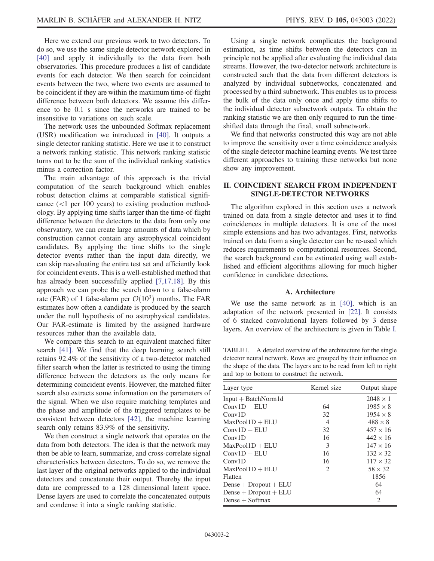Here we extend our previous work to two detectors. To do so, we use the same single detector network explored in [\[40\]](#page-9-28) and apply it individually to the data from both observatories. This procedure produces a list of candidate events for each detector. We then search for coincident events between the two, where two events are assumed to be coincident if they are within the maximum time-of-flight difference between both detectors. We assume this difference to be 0.1 s since the networks are trained to be insensitive to variations on such scale.

The network uses the unbounded Softmax replacement (USR) modification we introduced in [\[40\]](#page-9-28). It outputs a single detector ranking statistic. Here we use it to construct a network ranking statistic. This network ranking statistic turns out to be the sum of the individual ranking statistics minus a correction factor.

The main advantage of this approach is the trivial computation of the search background which enables robust detection claims at comparable statistical significance (<1 per 100 years) to existing production methodology. By applying time shifts larger than the time-of-flight difference between the detectors to the data from only one observatory, we can create large amounts of data which by construction cannot contain any astrophysical coincident candidates. By applying the time shifts to the single detector events rather than the input data directly, we can skip reevaluating the entire test set and efficiently look for coincident events. This is a well-established method that has already been successfully applied [\[7,](#page-9-5)[17,](#page-9-11)[18\]](#page-9-12). By this approach we can probe the search down to a false-alarm rate (FAR) of 1 false-alarm per  $\mathcal{O}(10^3)$  months. The FAR estimates how often a candidate is produced by the search under the null hypothesis of no astrophysical candidates. Our FAR-estimate is limited by the assigned hardware resources rather than the available data.

We compare this search to an equivalent matched filter search [[41](#page-9-29)]. We find that the deep learning search still retains 92.4% of the sensitivity of a two-detector matched filter search when the latter is restricted to using the timing difference between the detectors as the only means for determining coincident events. However, the matched filter search also extracts some information on the parameters of the signal. When we also require matching templates and the phase and amplitude of the triggered templates to be consistent between detectors [[42](#page-9-30)], the machine learning search only retains 83.9% of the sensitivity.

We then construct a single network that operates on the data from both detectors. The idea is that the network may then be able to learn, summarize, and cross-correlate signal characteristics between detectors. To do so, we remove the last layer of the original networks applied to the individual detectors and concatenate their output. Thereby the input data are compressed to a 128 dimensional latent space. Dense layers are used to correlate the concatenated outputs and condense it into a single ranking statistic.

Using a single network complicates the background estimation, as time shifts between the detectors can in principle not be applied after evaluating the individual data streams. However, the two-detector network architecture is constructed such that the data from different detectors is analyzed by individual subnetworks, concatenated and processed by a third subnetwork. This enables us to process the bulk of the data only once and apply time shifts to the individual detector subnetwork outputs. To obtain the ranking statistic we are then only required to run the timeshifted data through the final, small subnetwork.

We find that networks constructed this way are not able to improve the sensitivity over a time coincidence analysis of the single detector machine learning events. We test three different approaches to training these networks but none show any improvement.

# <span id="page-1-1"></span>II. COINCIDENT SEARCH FROM INDEPENDENT SINGLE-DETECTOR NETWORKS

The algorithm explored in this section uses a network trained on data from a single detector and uses it to find coincidences in multiple detectors. It is one of the most simple extensions and has two advantages. First, networks trained on data from a single detector can be re-used which reduces requirements to computational resources. Second, the search background can be estimated using well established and efficient algorithms allowing for much higher confidence in candidate detections.

## A. Architecture

We use the same network as in [\[40\]](#page-9-28), which is an adaptation of the network presented in [[22](#page-9-31)]. It consists of 6 stacked convolutional layers followed by 3 dense layers. An overview of the architecture is given in Table [I](#page-1-0).

<span id="page-1-0"></span>TABLE I. A detailed overview of the architecture for the single detector neural network. Rows are grouped by their influence on the shape of the data. The layers are to be read from left to right and top to bottom to construct the network.

| Layer type                | Kernel size    | Output shape    |
|---------------------------|----------------|-----------------|
| $Input + BatchNorm1d$     |                | $2048 \times 1$ |
| $Conv1D + ELU$            | 64             | $1985 \times 8$ |
| Conv1D                    | 32             | $1954 \times 8$ |
| $MaxPool1D + ELU$         | $\overline{4}$ | $488 \times 8$  |
| $Conv1D + ELU$            | 32             | $457 \times 16$ |
| Conv1D                    | 16             | $442 \times 16$ |
| $MaxPool1D + ELU$         | 3              | $147 \times 16$ |
| $Conv1D + ELU$            | 16             | $132 \times 32$ |
| Conv1D                    | 16             | $117 \times 32$ |
| $MaxPool1D + ELU$         | 2              | $58 \times 32$  |
| Flatten                   |                | 1856            |
| Dense $+$ Dropout $+$ ELU |                | 64              |
| Dense $+$ Dropout $+$ ELU |                | 64              |
| Dense $+$ Softmax         |                | 2               |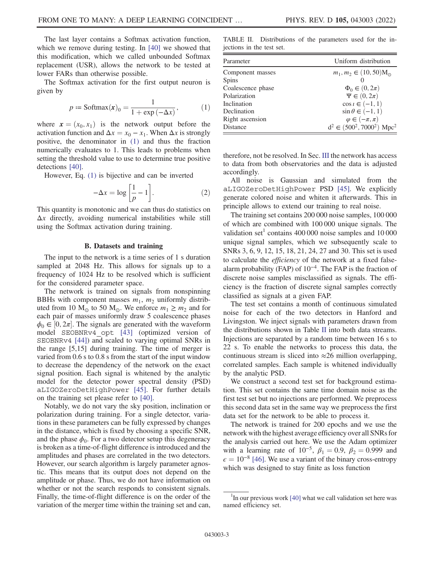The last layer contains a Softmax activation function, which we remove during testing. In [[40](#page-9-28)] we showed that this modification, which we called unbounded Softmax replacement (USR), allows the network to be tested at lower FARs than otherwise possible.

<span id="page-2-0"></span>The Softmax activation for the first output neuron is given by

$$
p \coloneqq \text{Softmax}(x)_0 = \frac{1}{1 + \exp(-\Delta x)},\tag{1}
$$

where  $\mathbf{x} = (x_0, x_1)$  is the network output before the activation function and  $\Delta x = x_0 - x_1$ . When  $\Delta x$  is strongly positive, the denominator in [\(1\)](#page-2-0) and thus the fraction numerically evaluates to 1. This leads to problems when setting the threshold value to use to determine true positive detections [\[40\]](#page-9-28).

However, Eq. [\(1\)](#page-2-0) is bijective and can be inverted

$$
-\Delta x = \log\left[\frac{1}{p} - 1\right].\tag{2}
$$

This quantity is monotonic and we can thus do statistics on  $\Delta x$  directly, avoiding numerical instabilities while still using the Softmax activation during training.

## B. Datasets and training

<span id="page-2-2"></span>The input to the network is a time series of 1 s duration sampled at 2048 Hz. This allows for signals up to a frequency of 1024 Hz to be resolved which is sufficient for the considered parameter space.

The network is trained on signals from nonspinning BBHs with component masses  $m_1$ ,  $m_2$  uniformly distributed from 10  $M_{\odot}$  to 50  $M_{\odot}$ . We enforce  $m_1 \ge m_2$  and for each pair of masses uniformly draw 5 coalescence phases  $\phi_0 \in [0, 2\pi]$ . The signals are generated with the waveform model SEOBNRv4\_opt [\[43\]](#page-9-32) (optimized version of SEOBNRv4 [[44](#page-9-33)]) and scaled to varying optimal SNRs in the range [5,15] during training. The time of merger is varied from 0.6 s to 0.8 s from the start of the input window to decrease the dependency of the network on the exact signal position. Each signal is whitened by the analytic model for the detector power spectral density (PSD) aLIGOZeroDetHighPower [\[45\]](#page-9-34). For further details on the training set please refer to [\[40\]](#page-9-28).

Notably, we do not vary the sky position, inclination or polarization during training. For a single detector, variations in these parameters can be fully expressed by changes in the distance, which is fixed by choosing a specific SNR, and the phase  $\phi_0$ . For a two detector setup this degeneracy is broken as a time-of-flight difference is introduced and the amplitudes and phases are correlated in the two detectors. However, our search algorithm is largely parameter agnostic. This means that its output does not depend on the amplitude or phase. Thus, we do not have information on whether or not the search responds to consistent signals. Finally, the time-of-flight difference is on the order of the variation of the merger time within the training set and can,

<span id="page-2-1"></span>TABLE II. Distributions of the parameters used for the injections in the test set.

| Parameter         | Uniform distribution                       |  |
|-------------------|--------------------------------------------|--|
| Component masses  | $m_1, m_2 \in (10, 50)$ M <sub>o</sub>     |  |
| Spins             |                                            |  |
| Coalescence phase | $\Phi_0 \in (0, 2\pi)$                     |  |
| Polarization      | $\Psi \in (0, 2\pi)$                       |  |
| Inclination       | $\cos i \in (-1, 1)$                       |  |
| Declination       | $\sin \theta \in (-1, 1)$                  |  |
| Right ascension   | $\varphi \in (-\pi, \pi)$                  |  |
| Distance          | $d^2 \in (500^2, 7000^2)$ Mpc <sup>2</sup> |  |

therefore, not be resolved. In Sec. [III](#page-6-0) the network has access to data from both observatories and the data is adjusted accordingly.

All noise is Gaussian and simulated from the aLIGOZeroDetHighPower PSD [[45](#page-9-34)]. We explicitly generate colored noise and whiten it afterwards. This in principle allows to extend our training to real noise.

The training set contains 200 000 noise samples, 100 000 of which are combined with 100 000 unique signals. The validation set<sup>1</sup> contains 400 000 noise samples and  $10\,000$ unique signal samples, which we subsequently scale to SNRs 3, 6, 9, 12, 15, 18, 21, 24, 27 and 30. This set is used to calculate the efficiency of the network at a fixed falsealarm probability (FAP) of 10<sup>−</sup><sup>4</sup>. The FAP is the fraction of discrete noise samples misclassified as signals. The efficiency is the fraction of discrete signal samples correctly classified as signals at a given FAP.

The test set contains a month of continuous simulated noise for each of the two detectors in Hanford and Livingston. We inject signals with parameters drawn from the distributions shown in Table [II](#page-2-1) into both data streams. Injections are separated by a random time between 16 s to 22 s. To enable the networks to process this data, the continuous stream is sliced into  $\approx$ 26 million overlapping, correlated samples. Each sample is whitened individually by the analytic PSD.

We construct a second test set for background estimation. This set contains the same time domain noise as the first test set but no injections are performed. We preprocess this second data set in the same way we preprocess the first data set for the network to be able to process it.

The network is trained for 200 epochs and we use the network with the highest average efficiency over all SNRs for the analysis carried out here. We use the Adam optimizer with a learning rate of 10<sup>-5</sup>,  $\beta_1 = 0.9$ ,  $\beta_2 = 0.999$  and  $\epsilon = 10^{-8}$  [\[46\]](#page-9-35). We use a variant of the binary cross-entropy which was designed to stay finite as loss function

 $1$ In our previous work [[40\]](#page-9-28) what we call validation set here was named efficiency set.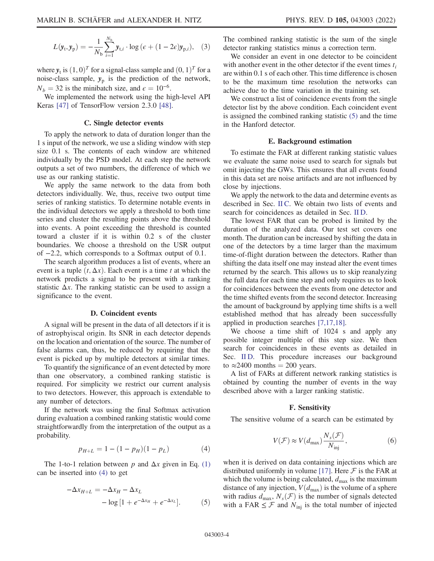$$
L(\mathbf{y}_t, \mathbf{y}_p) = -\frac{1}{N_b} \sum_{i=1}^{N_b} \mathbf{y}_{t,i} \cdot \log \left( \epsilon + (1 - 2\epsilon) \mathbf{y}_{p,i} \right), \quad (3)
$$

where  $y_t$  is  $(1, 0)^T$  for a signal-class sample and  $(0, 1)^T$  for a noise-class sample,  $y_p$  is the prediction of the network,  $N_b = 32$  is the minibatch size, and  $\epsilon = 10^{-6}$ .

We implemented the network using the high-level API Keras [[47](#page-9-36)] of TensorFlow version 2.3.0 [[48](#page-9-37)].

#### C. Single detector events

<span id="page-3-2"></span>To apply the network to data of duration longer than the 1 s input of the network, we use a sliding window with step size 0.1 s. The contents of each window are whitened individually by the PSD model. At each step the network outputs a set of two numbers, the difference of which we use as our ranking statistic.

We apply the same network to the data from both detectors individually. We, thus, receive two output time series of ranking statistics. To determine notable events in the individual detectors we apply a threshold to both time series and cluster the resulting points above the threshold into events. A point exceeding the threshold is counted toward a cluster if it is within 0.2 s of the cluster boundaries. We choose a threshold on the USR output of −2.2, which corresponds to a Softmax output of 0.1.

The search algorithm produces a list of events, where an event is a tuple  $(t, \Delta x)$ . Each event is a time t at which the network predicts a signal to be present with a ranking statistic  $\Delta x$ . The ranking statistic can be used to assign a significance to the event.

#### D. Coincident events

<span id="page-3-3"></span>A signal will be present in the data of all detectors if it is of astrophyiscal origin. Its SNR in each detector depends on the location and orientation of the source. The number of false alarms can, thus, be reduced by requiring that the event is picked up by multiple detectors at similar times.

To quantify the significance of an event detected by more than one observatory, a combined ranking statistic is required. For simplicity we restrict our current analysis to two detectors. However, this approach is extendable to any number of detectors.

<span id="page-3-0"></span>If the network was using the final Softmax activation during evaluation a combined ranking statistic would come straightforwardly from the interpretation of the output as a probability.

$$
p_{H+L} = 1 - (1 - p_H)(1 - p_L) \tag{4}
$$

<span id="page-3-1"></span>The 1-to-1 relation between p and  $\Delta x$  given in Eq. [\(1\)](#page-2-0) can be inserted into [\(4\)](#page-3-0) to get

$$
-\Delta x_{H+L} = -\Delta x_H - \Delta x_L
$$
  
- 
$$
\log[1 + e^{-\Delta x_H} + e^{-\Delta x_L}].
$$
 (5)

The combined ranking statistic is the sum of the single detector ranking statistics minus a correction term.

We consider an event in one detector to be coincident with another event in the other detector if the event times  $t_i$ are within 0.1 s of each other. This time difference is chosen to be the maximum time resolution the networks can achieve due to the time variation in the training set.

We construct a list of coincidence events from the single detector list by the above condition. Each coincident event is assigned the combined ranking statistic [\(5\)](#page-3-1) and the time in the Hanford detector.

#### E. Background estimation

<span id="page-3-4"></span>To estimate the FAR at different ranking statistic values we evaluate the same noise used to search for signals but omit injecting the GWs. This ensures that all events found in this data set are noise artifacts and are not influenced by close by injections.

We apply the network to the data and determine events as described in Sec. [II C](#page-3-2). We obtain two lists of events and search for coincidences as detailed in Sec. [II D](#page-3-3).

The lowest FAR that can be probed is limited by the duration of the analyzed data. Our test set covers one month. The duration can be increased by shifting the data in one of the detectors by a time larger than the maximum time-of-flight duration between the detectors. Rather than shifting the data itself one may instead alter the event times returned by the search. This allows us to skip reanalyzing the full data for each time step and only requires us to look for coincidences between the events from one detector and the time shifted events from the second detector. Increasing the amount of background by applying time shifts is a well established method that has already been successfully applied in production searches [[7](#page-9-5),[17](#page-9-11),[18](#page-9-12)].

We choose a time shift of 1024 s and apply any possible integer multiple of this step size. We then search for coincidences in these events as detailed in Sec. [II D.](#page-3-3) This procedure increases our background to  $\approx$ 2400 months = 200 years.

A list of FARs at different network ranking statistics is obtained by counting the number of events in the way described above with a larger ranking statistic.

#### F. Sensitivity

<span id="page-3-5"></span>The sensitive volume of a search can be estimated by

$$
V(\mathcal{F}) \approx V(d_{\text{max}}) \frac{N_s(\mathcal{F})}{N_{\text{inj}}},\tag{6}
$$

when it is derived on data containing injections which are distributed uniformly in volume [\[17\]](#page-9-11). Here  $\mathcal F$  is the FAR at which the volume is being calculated,  $d_{\text{max}}$  is the maximum distance of any injection,  $V(d_{\text{max}})$  is the volume of a sphere with radius  $d_{\text{max}}$ ,  $N_s(\mathcal{F})$  is the number of signals detected with a FAR  $\leq$  F and  $N_{\text{inj}}$  is the total number of injected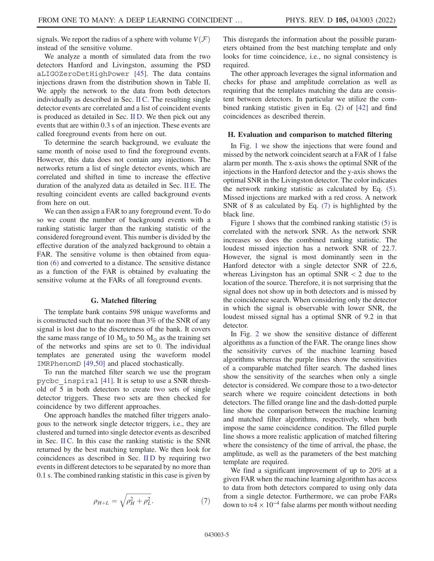signals. We report the radius of a sphere with volume  $V(\mathcal{F})$ instead of the sensitive volume.

We analyze a month of simulated data from the two detectors Hanford and Livingston, assuming the PSD aLIGOZeroDetHighPower [[45](#page-9-34)]. The data contains injections drawn from the distribution shown in Table [II](#page-2-1). We apply the network to the data from both detectors individually as described in Sec. [II C.](#page-3-2) The resulting single detector events are correlated and a list of coincident events is produced as detailed in Sec. [II D](#page-3-3). We then pick out any events that are within 0.3 s of an injection. These events are called foreground events from here on out.

To determine the search background, we evaluate the same month of noise used to find the foreground events. However, this data does not contain any injections. The networks return a list of single detector events, which are correlated and shifted in time to increase the effective duration of the analyzed data as detailed in Sec. [II E.](#page-3-4) The resulting coincident events are called background events from here on out.

We can then assign a FAR to any foreground event. To do so we count the number of background events with a ranking statistic larger than the ranking statistic of the considered foreground event. This number is divided by the effective duration of the analyzed background to obtain a FAR. The sensitive volume is then obtained from equation [\(6\)](#page-3-5) and converted to a distance. The sensitive distance as a function of the FAR is obtained by evaluating the sensitive volume at the FARs of all foreground events.

#### G. Matched filtering

The template bank contains 598 unique waveforms and is constructed such that no more than 3% of the SNR of any signal is lost due to the discreteness of the bank. It covers the same mass range of 10  $M_{\odot}$  to 50  $M_{\odot}$  as the training set of the networks and spins are set to 0. The individual templates are generated using the waveform model IMRPhenomD [\[49](#page-9-38)[,50\]](#page-9-39) and placed stochastically.

To run the matched filter search we use the program pycbc\_inspiral [[41](#page-9-29)]. It is setup to use a SNR threshold of 5 in both detectors to create two sets of single detector triggers. These two sets are then checked for coincidence by two different approaches.

<span id="page-4-0"></span>One approach handles the matched filter triggers analogous to the network single detector triggers, i.e., they are clustered and turned into single detector events as described in Sec. [II C](#page-3-2). In this case the ranking statistic is the SNR returned by the best matching template. We then look for coincidences as described in Sec. [II D](#page-3-3) by requiring two events in different detectors to be separated by no more than 0.1 s. The combined ranking statistic in this case is given by

$$
\rho_{H+L} = \sqrt{\rho_H^2 + \rho_L^2}.\tag{7}
$$

This disregards the information about the possible parameters obtained from the best matching template and only looks for time coincidence, i.e., no signal consistency is required.

The other approach leverages the signal information and checks for phase and amplitude correlation as well as requiring that the templates matching the data are consistent between detectors. In particular we utilize the combined ranking statistic given in Eq. (2) of [[42](#page-9-30)] and find coincidences as described therein.

#### <span id="page-4-1"></span>H. Evaluation and comparison to matched filtering

In Fig. [1](#page-5-0) we show the injections that were found and missed by the network coincident search at a FAR of 1 false alarm per month. The x-axis shows the optimal SNR of the injections in the Hanford detector and the y-axis shows the optimal SNR in the Livingston detector. The color indicates the network ranking statistic as calculated by Eq. [\(5\)](#page-3-1). Missed injections are marked with a red cross. A network SNR of 8 as calculated by Eq. [\(7\)](#page-4-0) is highlighted by the black line.

Figure [1](#page-5-0) shows that the combined ranking statistic [\(5\)](#page-3-1) is correlated with the network SNR. As the network SNR increases so does the combined ranking statistic. The loudest missed injection has a network SNR of 22.7. However, the signal is most dominantly seen in the Hanford detector with a single detector SNR of 22.6, whereas Livingston has an optimal  $SNR < 2$  due to the location of the source. Therefore, it is not surprising that the signal does not show up in both detectors and is missed by the coincidence search. When considering only the detector in which the signal is observable with lower SNR, the loudest missed signal has a optimal SNR of 9.2 in that detector.

In Fig. [2](#page-5-1) we show the sensitive distance of different algorithms as a function of the FAR. The orange lines show the sensitivity curves of the machine learning based algorithms whereas the purple lines show the sensitivities of a comparable matched filter search. The dashed lines show the sensitivity of the searches when only a single detector is considered. We compare those to a two-detector search where we require coincident detections in both detectors. The filled orange line and the dash-dotted purple line show the comparison between the machine learning and matched filter algorithms, respectively, when both impose the same coincidence condition. The filled purple line shows a more realistic application of matched filtering where the consistency of the time of arrival, the phase, the amplitude, as well as the parameters of the best matching template are required.

We find a significant improvement of up to 20% at a given FAR when the machine learning algorithm has access to data from both detectors compared to using only data from a single detector. Furthermore, we can probe FARs down to  $\approx$ 4 × 10<sup>-4</sup> false alarms per month without needing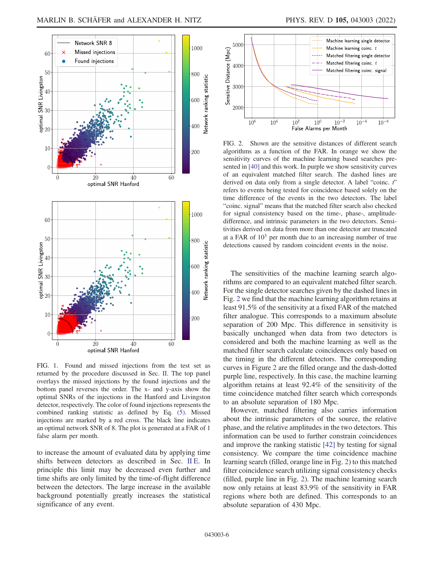<span id="page-5-0"></span>

FIG. 1. Found and missed injections from the test set as returned by the procedure discussed in Sec. [II.](#page-1-1) The top panel overlays the missed injections by the found injections and the bottom panel reverses the order. The x- and y-axis show the optimal SNRs of the injections in the Hanford and Livingston detector, respectively. The color of found injections represents the combined ranking statistic as defined by Eq. [\(5\).](#page-3-1) Missed injections are marked by a red cross. The black line indicates an optimal network SNR of 8. The plot is generated at a FAR of 1 false alarm per month.

to increase the amount of evaluated data by applying time shifts between detectors as described in Sec. [II E](#page-3-4). In principle this limit may be decreased even further and time shifts are only limited by the time-of-flight difference between the detectors. The large increase in the available background potentially greatly increases the statistical significance of any event.

<span id="page-5-1"></span>

FIG. 2. Shown are the sensitive distances of different search algorithms as a function of the FAR. In orange we show the sensitivity curves of the machine learning based searches presented in [[40](#page-9-28)] and this work. In purple we show sensitivity curves of an equivalent matched filter search. The dashed lines are derived on data only from a single detector. A label "coinc. t" refers to events being tested for coincidence based solely on the time difference of the events in the two detectors. The label "coinc. signal" means that the matched filter search also checked for signal consistency based on the time-, phase-, amplitudedifference, and intrinsic parameters in the two detectors. Sensitivities derived on data from more than one detector are truncated at a FAR of  $10<sup>3</sup>$  per month due to an increasing number of true detections caused by random coincident events in the noise.

The sensitivities of the machine learning search algorithms are compared to an equivalent matched filter search. For the single detector searches given by the dashed lines in Fig. [2](#page-5-1) we find that the machine learning algorithm retains at least 91.5% of the sensitivity at a fixed FAR of the matched filter analogue. This corresponds to a maximum absolute separation of 200 Mpc. This difference in sensitivity is basically unchanged when data from two detectors is considered and both the machine learning as well as the matched filter search calculate coincidences only based on the timing in the different detectors. The corresponding curves in Figure [2](#page-5-1) are the filled orange and the dash-dotted purple line, respectively. In this case, the machine learning algorithm retains at least 92.4% of the sensitivity of the time coincidence matched filter search which corresponds to an absolute separation of 180 Mpc.

However, matched filtering also carries information about the intrinsic parameters of the source, the relative phase, and the relative amplitudes in the two detectors. This information can be used to further constrain coincidences and improve the ranking statistic [\[42\]](#page-9-30) by testing for signal consistency. We compare the time coincidence machine learning search (filled, orange line in Fig. [2\)](#page-5-1) to this matched filter coincidence search utilizing signal consistency checks (filled, purple line in Fig. [2\)](#page-5-1). The machine learning search now only retains at least 83.9% of the sensitivity in FAR regions where both are defined. This corresponds to an absolute separation of 430 Mpc.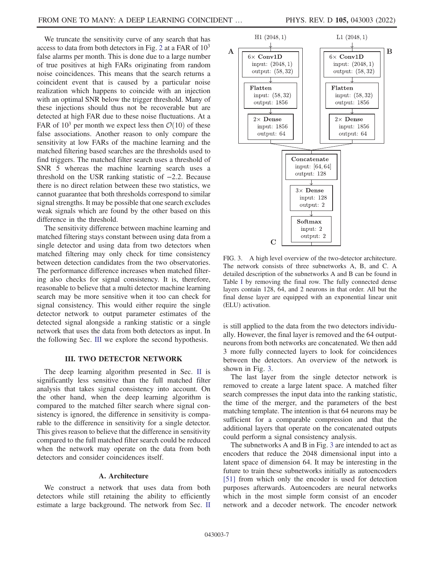We truncate the sensitivity curve of any search that has access to data from both detectors in Fig. [2](#page-5-1) at a FAR of  $10^3$ false alarms per month. This is done due to a large number of true positives at high FARs originating from random noise coincidences. This means that the search returns a coincident event that is caused by a particular noise realization which happens to coincide with an injection with an optimal SNR below the trigger threshold. Many of these injections should thus not be recoverable but are detected at high FAR due to these noise fluctuations. At a FAR of  $10^3$  per month we expect less then  $\mathcal{O}(10)$  of these false associations. Another reason to only compare the sensitivity at low FARs of the machine learning and the matched filtering based searches are the thresholds used to find triggers. The matched filter search uses a threshold of SNR 5 whereas the machine learning search uses a threshold on the USR ranking statistic of −2.2. Because there is no direct relation between these two statistics, we cannot guarantee that both thresholds correspond to similar signal strengths. It may be possible that one search excludes weak signals which are found by the other based on this difference in the threshold.

The sensitivity difference between machine learning and matched filtering stays constant between using data from a single detector and using data from two detectors when matched filtering may only check for time consistency between detection candidates from the two observatories. The performance difference increases when matched filtering also checks for signal consistency. It is, therefore, reasonable to believe that a multi detector machine learning search may be more sensitive when it too can check for signal consistency. This would either require the single detector network to output parameter estimates of the detected signal alongside a ranking statistic or a single network that uses the data from both detectors as input. In the following Sec. [III](#page-6-0) we explore the second hypothesis.

# III. TWO DETECTOR NETWORK

<span id="page-6-0"></span>The deep learning algorithm presented in Sec. [II](#page-1-1) is significantly less sensitive than the full matched filter analysis that takes signal consistency into account. On the other hand, when the deep learning algorithm is compared to the matched filter search where signal consistency is ignored, the difference in sensitivity is comparable to the difference in sensitivity for a single detector. This gives reason to believe that the difference in sensitivity compared to the full matched filter search could be reduced when the network may operate on the data from both detectors and consider coincidences itself.

## A. Architecture

We construct a network that uses data from both detectors while still retaining the ability to efficiently estimate a large background. The network from Sec. [II](#page-1-1)

<span id="page-6-1"></span>

FIG. 3. A high level overview of the two-detector architecture. The network consists of three subnetworks A, B, and C. A detailed description of the subnetworks A and B can be found in Table [I](#page-1-0) by removing the final row. The fully connected dense layers contain 128, 64, and 2 neurons in that order. All but the final dense layer are equipped with an exponential linear unit (ELU) activation.

is still applied to the data from the two detectors individually. However, the final layer is removed and the 64 outputneurons from both networks are concatenated. We then add 3 more fully connected layers to look for coincidences between the detectors. An overview of the network is shown in Fig. [3.](#page-6-1)

The last layer from the single detector network is removed to create a large latent space. A matched filter search compresses the input data into the ranking statistic, the time of the merger, and the parameters of the best matching template. The intention is that 64 neurons may be sufficient for a comparable compression and that the additional layers that operate on the concatenated outputs could perform a signal consistency analysis.

The subnetworks A and B in Fig. [3](#page-6-1) are intended to act as encoders that reduce the 2048 dimensional input into a latent space of dimension 64. It may be interesting in the future to train these subnetworks initially as autoencoders [\[51\]](#page-9-40) from which only the encoder is used for detection purposes afterwards. Autoencoders are neural networks which in the most simple form consist of an encoder network and a decoder network. The encoder network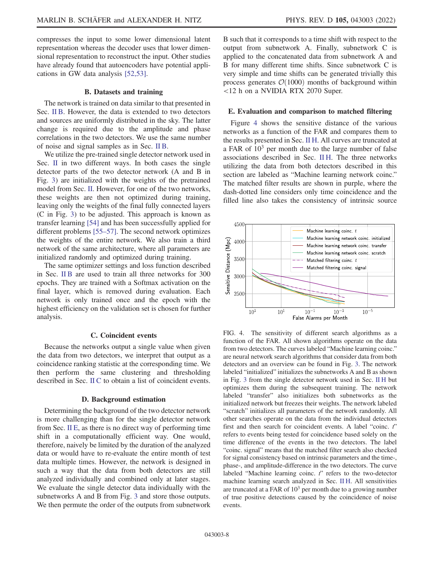compresses the input to some lower dimensional latent representation whereas the decoder uses that lower dimensional representation to reconstruct the input. Other studies have already found that autoencoders have potential applications in GW data analysis [\[52](#page-9-41)[,53\]](#page-9-42).

## B. Datasets and training

The network is trained on data similar to that presented in Sec. [II B](#page-2-2). However, the data is extended to two detectors and sources are uniformly distributed in the sky. The latter change is required due to the amplitude and phase correlations in the two detectors. We use the same number of noise and signal samples as in Sec. [II B](#page-2-2).

We utilize the pre-trained single detector network used in Sec. [II](#page-1-1) in two different ways. In both cases the single detector parts of the two detector network (A and B in Fig. [3](#page-6-1)) are initialized with the weights of the pretrained model from Sec. [II.](#page-1-1) However, for one of the two networks, these weights are then not optimized during training, leaving only the weights of the final fully connected layers (C in Fig. [3\)](#page-6-1) to be adjusted. This approach is known as transfer learning [[54](#page-9-43)] and has been successfully applied for different problems [[55](#page-9-44)–[57\]](#page-9-45). The second network optimizes the weights of the entire network. We also train a third network of the same architecture, where all parameters are initialized randomly and optimized during training.

The same optimizer settings and loss function described in Sec. [II B](#page-2-2) are used to train all three networks for 300 epochs. They are trained with a Softmax activation on the final layer, which is removed during evaluation. Each network is only trained once and the epoch with the highest efficiency on the validation set is chosen for further analysis.

## C. Coincident events

Because the networks output a single value when given the data from two detectors, we interpret that output as a coincidence ranking statistic at the corresponding time. We then perform the same clustering and thresholding described in Sec. [II C](#page-3-2) to obtain a list of coincident events.

## D. Background estimation

Determining the background of the two detector network is more challenging than for the single detector network from Sec. [II E](#page-3-4), as there is no direct way of performing time shift in a computationally efficient way. One would, therefore, naively be limited by the duration of the analyzed data or would have to re-evaluate the entire month of test data multiple times. However, the network is designed in such a way that the data from both detectors are still analyzed individually and combined only at later stages. We evaluate the single detector data individually with the subnetworks A and B from Fig. [3](#page-6-1) and store those outputs. We then permute the order of the outputs from subnetwork B such that it corresponds to a time shift with respect to the output from subnetwork A. Finally, subnetwork C is applied to the concatenated data from subnetwork A and B for many different time shifts. Since subnetwork C is very simple and time shifts can be generated trivially this process generates  $\mathcal{O}(1000)$  months of background within <12 h on a NVIDIA RTX 2070 Super.

#### E. Evaluation and comparison to matched filtering

Figure [4](#page-7-0) shows the sensitive distance of the various networks as a function of the FAR and compares them to the results presented in Sec. [II H.](#page-4-1) All curves are truncated at a FAR of  $10<sup>3</sup>$  per month due to the large number of false associations described in Sec. [II H](#page-4-1). The three networks utilizing the data from both detectors described in this section are labeled as "Machine learning network coinc." The matched filter results are shown in purple, where the dash-dotted line considers only time coincidence and the filled line also takes the consistency of intrinsic source

<span id="page-7-0"></span>

FIG. 4. The sensitivity of different search algorithms as a function of the FAR. All shown algorithms operate on the data from two detectors. The curves labeled "Machine learning coinc." are neural network search algorithms that consider data from both detectors and an overview can be found in Fig. [3.](#page-6-1) The network labeled "initialized" initializes the subnetworks A and B as shown in Fig. [3](#page-6-1) from the single detector network used in Sec. [II H](#page-4-1) but optimizes them during the subsequent training. The network labeled "transfer" also initializes both subnetworks as the initialized network but freezes their weights. The network labeled "scratch" initializes all parameters of the network randomly. All other searches operate on the data from the individual detectors first and then search for coincident events. A label "coinc. t" refers to events being tested for coincidence based solely on the time difference of the events in the two detectors. The label "coinc. signal" means that the matched filter search also checked for signal consistency based on intrinsic parameters and the time-, phase-, and amplitude-difference in the two detectors. The curve labeled "Machine learning coinc.  $t$ " refers to the two-detector machine learning search analyzed in Sec. [II H.](#page-4-1) All sensitivities are truncated at a FAR of  $10<sup>3</sup>$  per month due to a growing number of true positive detections caused by the coincidence of noise events.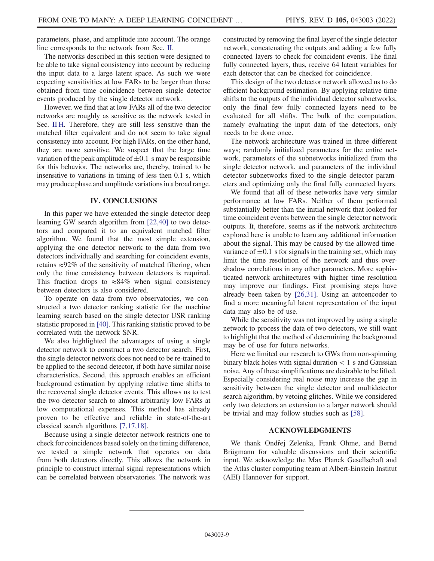parameters, phase, and amplitude into account. The orange line corresponds to the network from Sec. [II.](#page-1-1)

The networks described in this section were designed to be able to take signal consistency into account by reducing the input data to a large latent space. As such we were expecting sensitivities at low FARs to be larger than those obtained from time coincidence between single detector events produced by the single detector network.

However, we find that at low FARs all of the two detector networks are roughly as sensitive as the network tested in Sec. [II H.](#page-4-1) Therefore, they are still less sensitive than the matched filter equivalent and do not seem to take signal consistency into account. For high FARs, on the other hand, they are more sensitive. We suspect that the large time variation of the peak amplitude of  $\pm 0.1$  s may be responsible for this behavior. The networks are, thereby, trained to be insensitive to variations in timing of less then 0.1 s, which may produce phase and amplitude variations in a broad range.

# IV. CONCLUSIONS

In this paper we have extended the single detector deep learning GW search algorithm from [[22](#page-9-31),[40](#page-9-28)] to two detectors and compared it to an equivalent matched filter algorithm. We found that the most simple extension, applying the one detector network to the data from two detectors individually and searching for coincident events, retains ≈92% of the sensitivity of matched filtering, when only the time consistency between detectors is required. This fraction drops to  $\approx 84\%$  when signal consistency between detectors is also considered.

To operate on data from two observatories, we constructed a two detector ranking statistic for the machine learning search based on the single detector USR ranking statistic proposed in [[40](#page-9-28)]. This ranking statistic proved to be correlated with the network SNR.

We also highlighted the advantages of using a single detector network to construct a two detector search. First, the single detector network does not need to be re-trained to be applied to the second detector, if both have similar noise characteristics. Second, this approach enables an efficient background estimation by applying relative time shifts to the recovered single detector events. This allows us to test the two detector search to almost arbitrarily low FARs at low computational expenses. This method has already proven to be effective and reliable in state-of-the-art classical search algorithms [\[7](#page-9-5),[17](#page-9-11)[,18\]](#page-9-12).

Because using a single detector network restricts one to check for coincidences based solely on the timing difference, we tested a simple network that operates on data from both detectors directly. This allows the network in principle to construct internal signal representations which can be correlated between observatories. The network was

constructed by removing the final layer of the single detector network, concatenating the outputs and adding a few fully connected layers to check for coincident events. The final fully connected layers, thus, receive 64 latent variables for each detector that can be checked for coincidence.

This design of the two detector network allowed us to do efficient background estimation. By applying relative time shifts to the outputs of the individual detector subnetworks, only the final few fully connected layers need to be evaluated for all shifts. The bulk of the computation, namely evaluating the input data of the detectors, only needs to be done once.

The network architecture was trained in three different ways; randomly initialized parameters for the entire network, parameters of the subnetworks initialized from the single detector network, and parameters of the individual detector subnetworks fixed to the single detector parameters and optimizing only the final fully connected layers.

We found that all of these networks have very similar performance at low FARs. Neither of them performed substantially better than the initial network that looked for time coincident events between the single detector network outputs. It, therefore, seems as if the network architecture explored here is unable to learn any additional information about the signal. This may be caused by the allowed timevariance of  $\pm 0.1$  s for signals in the training set, which may limit the time resolution of the network and thus overshadow correlations in any other parameters. More sophisticated network architectures with higher time resolution may improve our findings. First promising steps have already been taken by [\[26,](#page-9-16)[31\]](#page-9-18). Using an autoencoder to find a more meaningful latent representation of the input data may also be of use.

While the sensitivity was not improved by using a single network to process the data of two detectors, we still want to highlight that the method of determining the background may be of use for future networks.

Here we limited our research to GWs from non-spinning binary black holes with signal duration  $< 1$  s and Gaussian noise. Any of these simplifications are desirable to be lifted. Especially considering real noise may increase the gap in sensitivity between the single detector and multidetector search algorithm, by vetoing glitches. While we considered only two detectors an extension to a larger network should be trivial and may follow studies such as [\[58\]](#page-9-46).

# ACKNOWLEDGMENTS

We thank Ondřej Zelenka, Frank Ohme, and Bernd Brügmann for valuable discussions and their scientific input. We acknowledge the Max Planck Gesellschaft and the Atlas cluster computing team at Albert-Einstein Institut (AEI) Hannover for support.